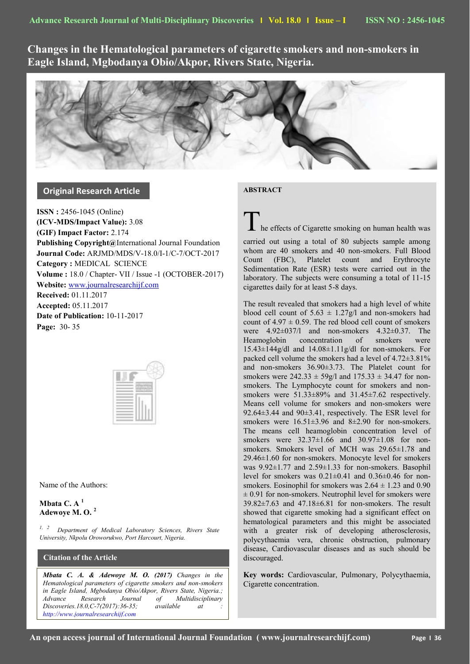**Changes in the Hematological parameters of cigarette smokers and non-smokers in Eagle Island, Mgbodanya Obio/Akpor, Rivers State, Nigeria.**

# **Original Research Article**

**ISSN :** 2456-1045 (Online) **(ICV-MDS/Impact Value):** 3.08 **(GIF) Impact Factor:** 2.174 **Publishing Copyright@**International Journal Foundation **Journal Code:** ARJMD/MDS/V-18.0/I-1/C-7/OCT-2017 **Category :** MEDICAL SCIENCE **Volume :** 18.0 / Chapter- VII / Issue -1 (OCTOBER-2017) **Website:** [www.journalresearchijf.com](http://www.journalresearchijf.com/) **Received:** 01.11.2017 **Accepted:** 05.11.2017 **Date of Publication:** 10-11-2017 **Page:** 30- 35



Name of the Authors:

**Mbata C.**  $A<sup>1</sup>$ **Adewoye M. O. <sup>2</sup>**

**e;**

*1, 2 Department of Medical Laboratory Sciences, Rivers State University, Nkpolu Oroworukwo, Port Harcourt, Nigeria.*

## **Citation of the Article**

*Mbata C. A. & Adewoye M. O. (2017) Changes in the Hematological parameters of cigarette smokers and non-smokers in Eagle Island, Mgbodanya Obio/Akpor, Rivers State, Nigeria.; Advance Research Journal of Multidisciplinary Discoveries.18.0,C-7(2017):36-35; available at : [http://www.journalresearchijf.com](http://www.journalresearchijf.com/)*

### **ABSTRACT**

 $\mathsf{\Sigma}$  he effects of Cigarette smoking on human health was

carried out using a total of 80 subjects sample among whom are 40 smokers and 40 non-smokers. Full Blood Count (FBC), Platelet count and Erythrocyte Sedimentation Rate (ESR) tests were carried out in the laboratory. The subjects were consuming a total of 11-15 cigarettes daily for at least 5-8 days.

The result revealed that smokers had a high level of white blood cell count of  $5.63 \pm 1.27g/l$  and non-smokers had count of  $4.97 \pm 0.59$ . The red blood cell count of smokers were 4.92±037/l and non-smokers 4.32±0.37. The Heamoglobin concentration of smokers were  $15.43\pm144$ g/dl and  $14.08\pm1.11$ g/dl for non-smokers. For packed cell volume the smokers had a level of 4.72±3.81% and non-smokers 36.90±3.73. The Platelet count for smokers were  $242.33 \pm 59g/1$  and  $175.33 \pm 34.47$  for nonsmokers. The Lymphocyte count for smokers and nonsmokers were  $51.33\pm89\%$  and  $31.45\pm7.62$  respectively. Means cell volume for smokers and non-smokers were 92.64±3.44 and 90±3.41, respectively. The ESR level for smokers were  $16.51\pm3.96$  and  $8\pm2.90$  for non-smokers. The means cell heamoglobin concentration level of smokers were  $32.37 \pm 1.66$  and  $30.97 \pm 1.08$  for nonsmokers. Smokers level of MCH was  $29.65\pm1.78$  and 29.46±1.60 for non-smokers. Monocyte level for smokers was 9.92±1.77 and 2.59±1.33 for non-smokers. Basophil level for smokers was  $0.21 \pm 0.41$  and  $0.36 \pm 0.46$  for nonsmokers. Eosinophil for smokers was  $2.64 \pm 1.23$  and 0.90  $\pm$  0.91 for non-smokers. Neutrophil level for smokers were 39.82±7.63 and 47.18±6.81 for non-smokers. The result showed that cigarette smoking had a significant effect on hematological parameters and this might be associated with a greater risk of developing atherosclerosis, polycythaemia vera, chronic obstruction, pulmonary disease, Cardiovascular diseases and as such should be discouraged.

**Key words:** Cardiovascular, Pulmonary, Polycythaemia, Cigarette concentration.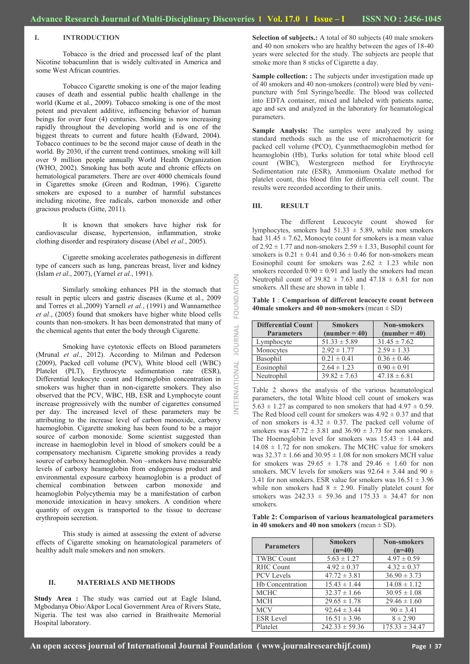### **I. INTRODUCTION**

Tobacco is the dried and processed leaf of the plant Nicotine tobacumlinn that is widely cultivated in America and some West African countries.

Tobacco Cigarette smoking is one of the major leading causes of death and essential public health challenge in the world (Kume et al., 2009). Tobacco smoking is one of the most potent and prevalent additive, influencing behavior of human beings for over four (4) centuries. Smoking is now increasing rapidly throughout the developing world and is one of the biggest threats to current and future health (Edward, 2004). Tobacco continues to be the second major cause of death in the world. By 2030, if the current trend continues, smoking will kill over 9 million people annually World Health Organization (WHO, 2002). Smoking has both acute and chronic effects on hematological parameters. There are over 4000 chemicals found in Cigarettes smoke (Green and Rodman, 1996). Cigarette smokers are exposed to a number of harmful substances including nicotine, free radicals, carbon monoxide and other gracious products (Gitte, 2011).

It is known that smokers have higher risk for cardiovascular disease, hypertension, inflammation, stroke clothing disorder and respiratory disease (Abel *et al.*, 2005).

Cigarette smoking accelerates pathogenesis in different type of cancers such as lung, pancreas breast, liver and kidney (Islam *et al*., 2007), (Yarnel *et al.*, 1991).

Similarly smoking enhances PH in the stomach that result in peptic ulcers and gastric diseases (Kume et al., 2009 and Torres et al.,2009) Yarnell *et al.*, (1991) and Wannamethee *et al*., (2005) found that smokers have higher white blood cells counts than non-smokers. It has been demonstrated that many of the chemical agents that enter the body through Cigarette.

Smoking have cytotoxic effects on Blood parameters (Mrunal *et al*., 2012). According to Milman and Pederson (2009), Packed cell volume (PCV), White blood cell (WBC) Platelet (PLT), Erythrocyte sedimentation rate (ESR), Differential leukocyte count and Hemoglobin concentration in smokers was higher than in non-cigarette smokers. They also observed that the PCV, WBC, HB, ESR and Lymphocyte count increase progressively with the number of cigarettes consumed per day. The increased level of these parameters may be attributing to the increase level of carbon monoxide, carboxy haemoglobin. Cigarette smoking has been found to be a major source of carbon monoxide. Some scientist suggested than increase in haemoglobin level in blood of smokers could be a compensatory mechanism. Cigarette smoking provides a ready source of carboxy heamoglobin. Non –smokers have measurable levels of carboxy heamoglobin from endogenous product and environmental exposure carboxy heamoglobin is a product of chemical combination between carbon monoxide and heamoglobin Polycythemia may be a manifestation of carbon monoxide intoxication in heavy smokers. A condition where quantity of oxygen is transported to the tissue to decrease erythropoin secretion.

This study is aimed at assessing the extent of adverse effects of Cigarette smoking on heamatological parameters of healthy adult male smokers and non smokers.

### **II. MATERIALS AND METHODS**

Study Area : The study was carried out at Eagle Island, Mgbodanya Obio/Akpor Local Government Area of Rivers State, Nigeria. The test was also carried in Braithwaite Memorial Hospital laboratory.

**Selection of subjects.:** A total of 80 subjects (40 male smokers and 40 non smokers who are healthy between the ages of 18-40 years were selected for the study. The subjects are people that smoke more than 8 sticks of Cigarette a day.

**Sample collection:** : The subjects under investigation made up of 40 smokers and 40 non-smokers (control) were bled by venipuncture with 5ml Syringe/heedle. The blood was collected into EDTA container, mixed and labeled with patients name, age and sex and analyzed in the laboratory for heamatological parameters.

**Sample Analysis:** The samples were analyzed by using standard methods such as the use of microhaemoticrit for packed cell volume (PCO), Cyanmethaemoglobin method for heamoglobin (Hb), Turks solution for total white blood cell count (WBC), Westergreen method for Erythrocyte Sedimentation rate (ESR), Ammonium Oxalate method for platelet count, this blood film for differentia cell count. The results were recorded according to their units.

#### **III. RESULT**

**INTERNATIONAL JOURNAL FOUNDATION**

JOURNAL

NATIONAL

FOUNDATION

The different Leucocyte count showed for lymphocytes, smokers had  $51.33 \pm 5.89$ , while non smokers had  $31.45 \pm 7.62$ , Monocyte count for smokers is a mean value of  $2.92 \pm 1.77$  and non-smokers  $2.59 \pm 1.33$ , Busophil count for smokers is  $0.21 \pm 0.41$  and  $0.36 \pm 0.46$  for non-smokers mean Eosinophil count for smokers was  $2.62 \pm 1.23$  while non smokers recorded  $0.90 \pm 0.91$  and lastly the smokers had mean Neutrophil count of  $39.82 \pm 7.63$  and  $47.18 \pm 6.81$  for non smokers. All these are shown in table 1.

**Table 1** : **Comparison of different leucocyte count between 40male smokers and 40 non-smokers** (mean ± SD)

| <b>Differential Count</b> | <b>Smokers</b>   | <b>Non-smokers</b> |
|---------------------------|------------------|--------------------|
| <b>Parameters</b>         | $(number = 40)$  | $(number = 40)$    |
| Lymphocyte                | $51.33 \pm 5.89$ | $31.45 \pm 7.62$   |
| Monocytes                 | $2.92 \pm 1.77$  | $2.59 \pm 1.33$    |
| Basophil                  | $0.21 \pm 0.41$  | $0.36 \pm 0.46$    |
| Eosinophil                | $2.64 \pm 1.23$  | $0.90 \pm 0.91$    |
| Neutrophil                | $39.82 \pm 7.63$ | $47.18 \pm 6.81$   |

Table 2 shows the analysis of the various heamatological parameters, the total White blood cell count of smokers was  $5.63 \pm 1.27$  as compared to non smokers that had  $4.97 \pm 0.59$ . The Red blood cell count for smokers was  $4.92 \pm 0.37$  and that of non smokers is  $4.32 \pm 0.37$ . The packed cell volume of smokers was  $47.72 \pm 3.81$  and  $36.90 \pm 3.73$  for non smokers. The Hoemoglobin level for smokers was  $15.43 \pm 1.44$  and  $14.08 \pm 1.72$  for non smokers. The MCHC value for smokers was  $32.37 \pm 1.66$  and  $30.95 \pm 1.08$  for non smokers MCH value for smokers was  $29.65 \pm 1.78$  and  $29.46 \pm 1.60$  for non smokers. MCV levels for smokers was  $92.64 \pm 3.44$  and  $90 \pm 1.6$ 3.41 for non smokers. ESR value for smokers was  $16.51 \pm 3.96$ while non smokers had  $8 \pm 2.90$ . Finally platelet count for smokers was  $242.33 \pm 59.36$  and  $175.33 \pm 34.47$  for non smokers.

**Table 2: Comparison of various heamatological parameters in 40 smokers and 40 non smokers** (mean  $\pm$  SD).

| <b>Parameters</b>       | <b>Smokers</b><br>$(n=40)$ | <b>Non-smokers</b><br>$(n=40)$ |
|-------------------------|----------------------------|--------------------------------|
| <b>TWBC Count</b>       | $5.63 \pm 1.27$            | $4.97 \pm 0.59$                |
| RHC Count               | $4.92 \pm 0.37$            | $4.32 \pm 0.37$                |
| <b>PCV</b> Levels       | $47.72 \pm 3.81$           | $36.90 \pm 3.73$               |
| <b>Hb Concentration</b> | $15.43 \pm 1.44$           | $14.08 \pm 1.12$               |
| <b>MCHC</b>             | $32.37 \pm 1.66$           | $30.95 \pm 1.08$               |
| <b>MCH</b>              | $29.65 \pm 1.78$           | $29.46 \pm 1.60$               |
| <b>MCV</b>              | $92.64 \pm 3.44$           | $90 \pm 3.41$                  |
| <b>ESR Level</b>        | $16.51 \pm 3.96$           | $8 \pm 2.90$                   |
| Platelet                | $242.33 \pm 59.36$         | $175.33 \pm 34.47$             |